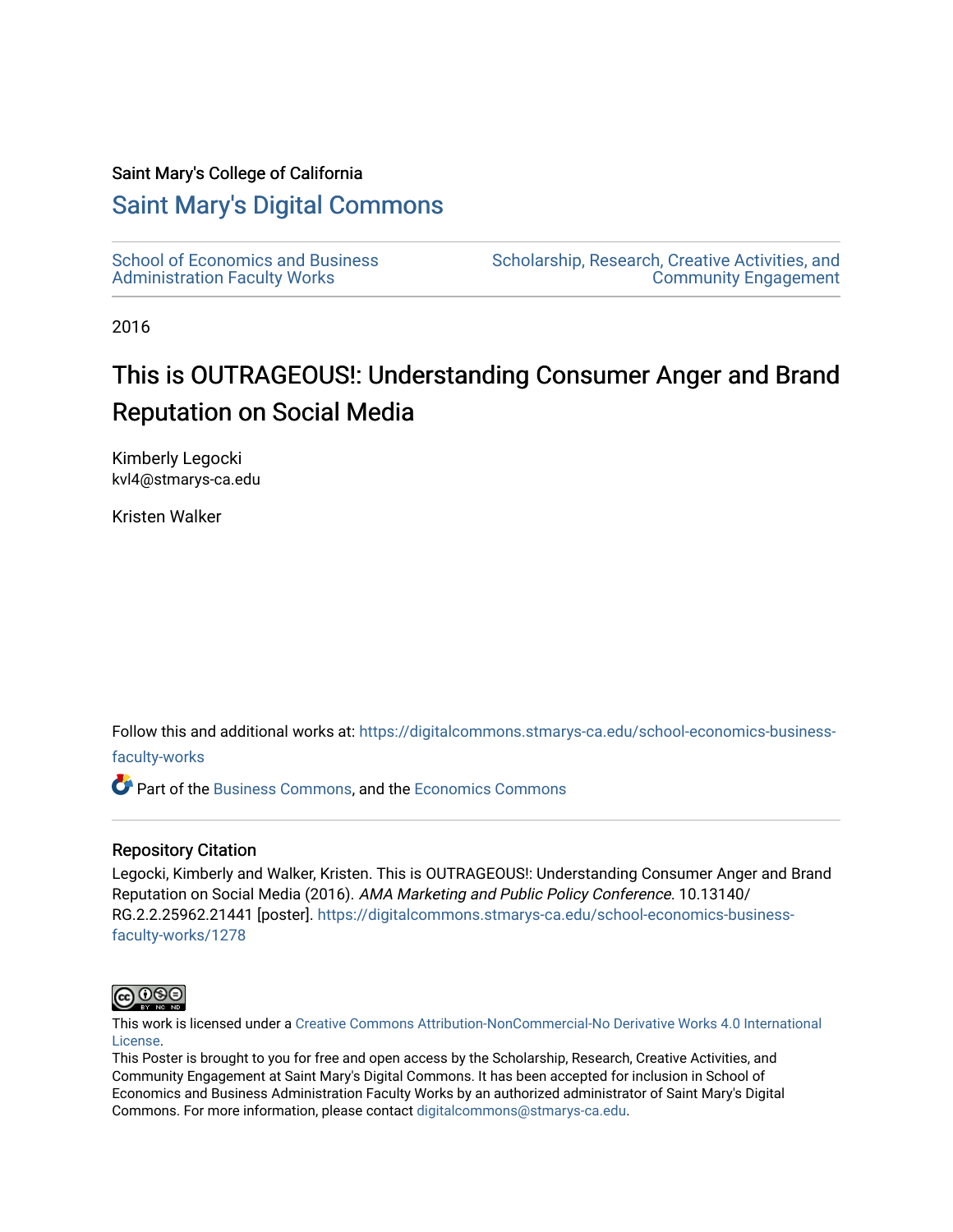#### Saint Mary's College of California

#### [Saint Mary's Digital Commons](https://digitalcommons.stmarys-ca.edu/)

| <b>School of Economics and Business</b> |  |
|-----------------------------------------|--|
| <b>Administration Faculty Works</b>     |  |

[Scholarship, Research, Creative Activities, and](https://digitalcommons.stmarys-ca.edu/scholarship-research-community)  [Community Engagement](https://digitalcommons.stmarys-ca.edu/scholarship-research-community) 

2016

### This is OUTRAGEOUS!: Understanding Consumer Anger and Brand Reputation on Social Media

Kimberly Legocki kvl4@stmarys-ca.edu

Kristen Walker

Follow this and additional works at: [https://digitalcommons.stmarys-ca.edu/school-economics-business-](https://digitalcommons.stmarys-ca.edu/school-economics-business-faculty-works?utm_source=digitalcommons.stmarys-ca.edu%2Fschool-economics-business-faculty-works%2F1278&utm_medium=PDF&utm_campaign=PDFCoverPages)

[faculty-works](https://digitalcommons.stmarys-ca.edu/school-economics-business-faculty-works?utm_source=digitalcommons.stmarys-ca.edu%2Fschool-economics-business-faculty-works%2F1278&utm_medium=PDF&utm_campaign=PDFCoverPages) 

Part of the [Business Commons](http://network.bepress.com/hgg/discipline/622?utm_source=digitalcommons.stmarys-ca.edu%2Fschool-economics-business-faculty-works%2F1278&utm_medium=PDF&utm_campaign=PDFCoverPages), and the [Economics Commons](http://network.bepress.com/hgg/discipline/340?utm_source=digitalcommons.stmarys-ca.edu%2Fschool-economics-business-faculty-works%2F1278&utm_medium=PDF&utm_campaign=PDFCoverPages)

#### Repository Citation

Legocki, Kimberly and Walker, Kristen. This is OUTRAGEOUS!: Understanding Consumer Anger and Brand Reputation on Social Media (2016). AMA Marketing and Public Policy Conference. 10.13140/ RG.2.2.25962.21441 [poster]. [https://digitalcommons.stmarys-ca.edu/school-economics-business](https://digitalcommons.stmarys-ca.edu/school-economics-business-faculty-works/1278?utm_source=digitalcommons.stmarys-ca.edu%2Fschool-economics-business-faculty-works%2F1278&utm_medium=PDF&utm_campaign=PDFCoverPages)[faculty-works/1278](https://digitalcommons.stmarys-ca.edu/school-economics-business-faculty-works/1278?utm_source=digitalcommons.stmarys-ca.edu%2Fschool-economics-business-faculty-works%2F1278&utm_medium=PDF&utm_campaign=PDFCoverPages)



This work is licensed under a [Creative Commons Attribution-NonCommercial-No Derivative Works 4.0 International](https://creativecommons.org/licenses/by-nc-nd/4.0/) [License.](https://creativecommons.org/licenses/by-nc-nd/4.0/)

This Poster is brought to you for free and open access by the Scholarship, Research, Creative Activities, and Community Engagement at Saint Mary's Digital Commons. It has been accepted for inclusion in School of Economics and Business Administration Faculty Works by an authorized administrator of Saint Mary's Digital Commons. For more information, please contact [digitalcommons@stmarys-ca.edu](mailto:digitalcommons@stmarys-ca.edu).